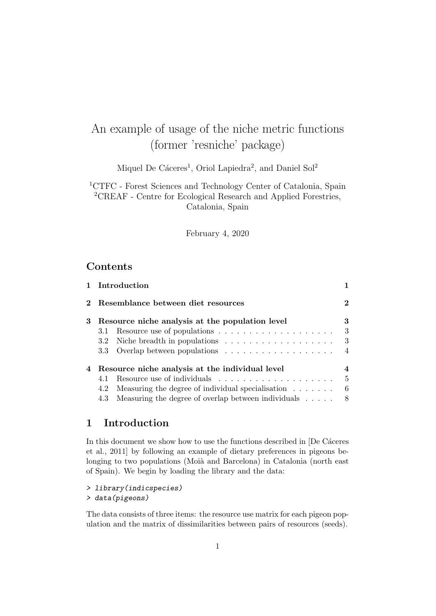# An example of usage of the niche metric functions (former 'resniche' package)

Miquel De Cáceres<sup>1</sup>, Oriol Lapiedra<sup>2</sup>, and Daniel Sol<sup>2</sup>

<sup>1</sup>CTFC - Forest Sciences and Technology Center of Catalonia, Spain <sup>2</sup>CREAF - Centre for Ecological Research and Applied Forestries, Catalonia, Spain

February 4, 2020

# **Contents**

|   | 1 Introduction                                                                            |                |
|---|-------------------------------------------------------------------------------------------|----------------|
|   | Resemblance between diet resources                                                        | $\mathbf 2$    |
| 3 | Resource niche analysis at the population level                                           | 3              |
|   | 3.1                                                                                       | 3              |
|   | Niche breadth in populations $\ldots \ldots \ldots \ldots \ldots \ldots$<br>$3.2^{\circ}$ | 3              |
|   | $3.3\,$                                                                                   | $\overline{4}$ |
| 4 | Resource niche analysis at the individual level                                           |                |
|   | 4.1                                                                                       | $\frac{5}{2}$  |
|   | Measuring the degree of individual specialisation $\ldots$<br>4.2                         | 6              |
|   | Measuring the degree of overlap between individuals<br>4.3                                | -8             |

# 1 Introduction

In this document we show how to use the functions described in [De Cáceres et al., 2011] by following an example of dietary preferences in pigeons belonging to two populations (Moià and Barcelona) in Catalonia (north east of Spain). We begin by loading the library and the data:

### > library(indicspecies)

> data(pigeons)

The data consists of three items: the resource use matrix for each pigeon population and the matrix of dissimilarities between pairs of resources (seeds).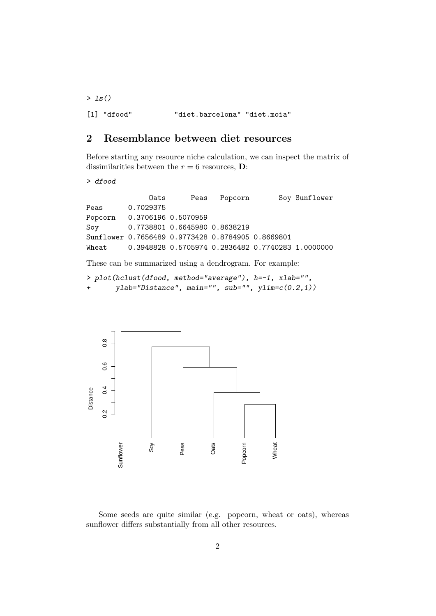$>$  1s() [1] "dfood" "diet.barcelona" "diet.moia"

# 2 Resemblance between diet resources

Before starting any resource niche calculation, we can inspect the matrix of dissimilarities between the  $r = 6$  resources, **D**:

> dfood

|                | Oats                                                    | Peas Popcorn | Soy Sunflower |
|----------------|---------------------------------------------------------|--------------|---------------|
| Peas 0.7029375 |                                                         |              |               |
|                | Popcorn 0.3706196 0.5070959                             |              |               |
|                | Soy 0.7738801 0.6645980 0.8638219                       |              |               |
|                | Sunflower 0.7656489 0.9773428 0.8784905 0.8669801       |              |               |
|                | Wheat 0.3948828 0.5705974 0.2836482 0.7740283 1.0000000 |              |               |

These can be summarized using a dendrogram. For example:

```
> plot(hclust(dfood, method="average"), h=-1, xlab="",
+ ylab="Distance", main="", sub="", ylim=c(0.2,1))
```


Some seeds are quite similar (e.g. popcorn, wheat or oats), whereas sunflower differs substantially from all other resources.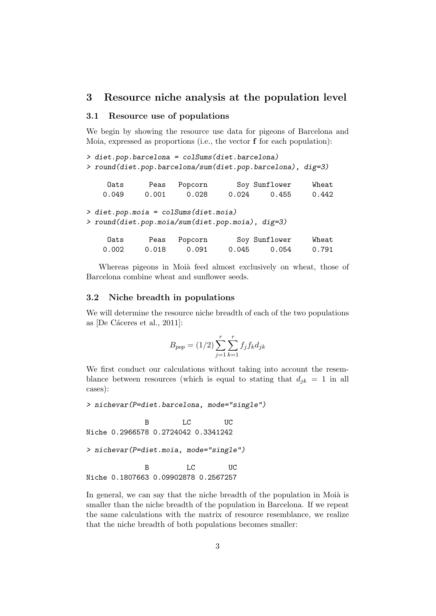## 3 Resource niche analysis at the population level

#### 3.1 Resource use of populations

We begin by showing the resource use data for pigeons of Barcelona and Moia, expressed as proportions (i.e., the vector f for each population):

```
> diet.pop.barcelona = colSums(diet.barcelona)
> round(diet.pop.barcelona/sum(diet.pop.barcelona), dig=3)
    Oats Peas Popcorn Soy Sunflower Wheat
   0.049 0.001 0.028 0.024 0.455 0.442
> diet.pop.moia = colSums(diet.moia)
> round(diet.pop.moia/sum(diet.pop.moia), dig=3)
    Oats Peas Popcorn Soy Sunflower Wheat
   0.002 0.018 0.091 0.045 0.054 0.791
```
Whereas pigeons in Moià feed almost exclusively on wheat, those of Barcelona combine wheat and sunflower seeds.

#### 3.2 Niche breadth in populations

We will determine the resource niche breadth of each of the two populations as  $[De Cáceres et al., 2011]$ :

$$
B_{pop} = (1/2) \sum_{j=1}^{r} \sum_{k=1}^{r} f_j f_k d_{jk}
$$

We first conduct our calculations without taking into account the resemblance between resources (which is equal to stating that  $d_{jk} = 1$  in all cases):

> nichevar(P=diet.barcelona, mode="single")

B LC UC Niche 0.2966578 0.2724042 0.3341242

> nichevar(P=diet.moia, mode="single")

```
B LC UC
Niche 0.1807663 0.09902878 0.2567257
```
In general, we can say that the niche breadth of the population in Moià is smaller than the niche breadth of the population in Barcelona. If we repeat the same calculations with the matrix of resource resemblance, we realize that the niche breadth of both populations becomes smaller: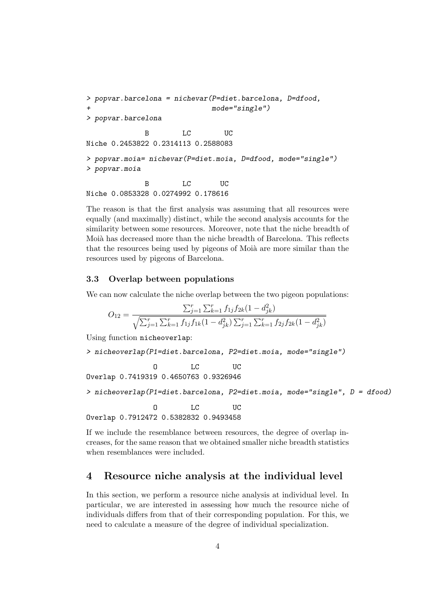```
> popvar.barcelona = nichevar(P=diet.barcelona, D=dfood,
+ mode="single")
> popvar.barcelona
            B LC UC
Niche 0.2453822 0.2314113 0.2588083
> popvar.moia= nichevar(P=diet.moia, D=dfood, mode="single")
> popvar.moia
            B LC UC
Niche 0.0853328 0.0274992 0.178616
```
The reason is that the first analysis was assuming that all resources were equally (and maximally) distinct, while the second analysis accounts for the similarity between some resources. Moreover, note that the niche breadth of Moià has decreased more than the niche breadth of Barcelona. This reflects that the resources being used by pigeons of Moià are more similar than the resources used by pigeons of Barcelona.

#### 3.3 Overlap between populations

We can now calculate the niche overlap between the two pigeon populations:

$$
O_{12} = \frac{\sum_{j=1}^{r} \sum_{k=1}^{r} f_{1j} f_{2k} (1 - d_{jk}^2)}{\sqrt{\sum_{j=1}^{r} \sum_{k=1}^{r} f_{1j} f_{1k} (1 - d_{jk}^2) \sum_{j=1}^{r} \sum_{k=1}^{r} f_{2j} f_{2k} (1 - d_{jk}^2)}}
$$

Using function nicheoverlap:

```
> nicheoverlap(P1=diet.barcelona, P2=diet.moia, mode="single")
```
O LC UC Overlap 0.7419319 0.4650763 0.9326946

> nicheoverlap(P1=diet.barcelona, P2=diet.moia, mode="single", D = dfood)

O LC UC Overlap 0.7912472 0.5382832 0.9493458

If we include the resemblance between resources, the degree of overlap increases, for the same reason that we obtained smaller niche breadth statistics when resemblances were included.

# 4 Resource niche analysis at the individual level

In this section, we perform a resource niche analysis at individual level. In particular, we are interested in assessing how much the resource niche of individuals differs from that of their corresponding population. For this, we need to calculate a measure of the degree of individual specialization.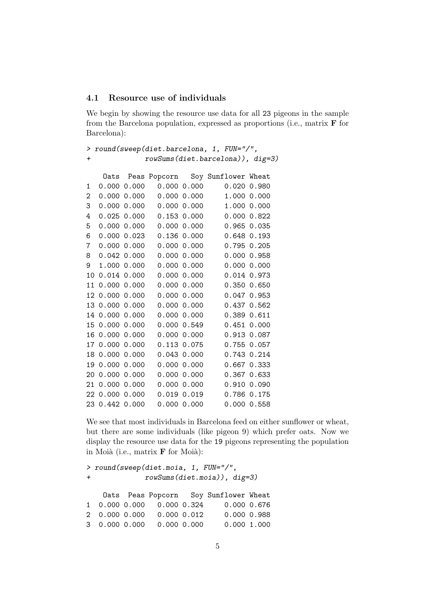#### 4.1 Resource use of individuals

We begin by showing the resource use data for all 23 pigeons in the sample from the Barcelona population, expressed as proportions (i.e., matrix  $\bf{F}$  for Barcelona):

| > round(sweep(diet.barcelona, 1, FUN="/", |                                  |                 |                                 |                 |                                       |                 |
|-------------------------------------------|----------------------------------|-----------------|---------------------------------|-----------------|---------------------------------------|-----------------|
| $\pmb{+}$                                 | rowSums(diet.barcelona)), dig=3) |                 |                                 |                 |                                       |                 |
|                                           |                                  |                 |                                 |                 |                                       |                 |
|                                           |                                  |                 |                                 |                 | Oats Peas Popcorn Soy Sunflower Wheat |                 |
| 1                                         |                                  | 0.00000.000     |                                 | 0.00000.000     |                                       | $0.020$ $0.980$ |
| 2                                         |                                  | 0.00000.000     |                                 | $0.000$ $0.000$ |                                       | 1.000 0.000     |
| 3                                         |                                  | 0.000 0.000     |                                 | $0.000$ $0.000$ |                                       | 1.000 0.000     |
| 4                                         |                                  |                 | $0.025$ 0.000 0.153 0.000       |                 |                                       | 0.00000.822     |
| 5                                         |                                  |                 | $0.000$ $0.000$ $0.000$ $0.000$ |                 | 0.965 0.035                           |                 |
| 6                                         |                                  |                 | $0.000$ $0.023$ $0.136$ $0.000$ |                 | 0.648 0.193                           |                 |
| 7                                         |                                  | $0.000$ $0.000$ |                                 | $0.000$ $0.000$ | 0.795 0.205                           |                 |
|                                           | 8 0.042 0.000                    |                 |                                 | $0.000$ $0.000$ |                                       | 0.00000.958     |
| 9                                         |                                  | 1.000 0.000     |                                 | $0.000$ $0.000$ |                                       | 0.00000.000     |
|                                           | 10 0.014 0.000                   |                 |                                 | $0.000$ $0.000$ |                                       | 0.014 0.973     |
|                                           | 11 0.000 0.000                   |                 |                                 | 0.00000.000     |                                       | 0.350 0.650     |
|                                           | 12 0.000 0.000                   |                 |                                 | $0.000\ 0.000$  |                                       | $0.047$ 0.953   |
|                                           | 13 0.000 0.000                   |                 |                                 | $0.000$ $0.000$ |                                       | 0.437 0.562     |
|                                           | 14 0.000 0.000                   |                 |                                 | 0.00000.000     |                                       | 0.389 0.611     |
|                                           | 15 0.000 0.000                   |                 |                                 | 0.00000.549     |                                       | $0.451$ $0.000$ |
|                                           | 16 0.000 0.000                   |                 |                                 | $0.000$ $0.000$ |                                       | 0.913 0.087     |
|                                           | 17 0.000 0.000                   |                 |                                 | $0.113$ $0.075$ |                                       | 0.755 0.057     |
|                                           | 18 0.000 0.000                   |                 |                                 | $0.043$ $0.000$ |                                       | 0.743 0.214     |
|                                           | 19 0.000 0.000                   |                 |                                 | $0.000\ 0.000$  |                                       | $0.667$ $0.333$ |
|                                           | 20 0.000 0.000                   |                 |                                 | $0.000\ 0.000$  |                                       | 0.367 0.633     |
|                                           | 21 0.000 0.000                   |                 |                                 | $0.000$ $0.000$ | 0.910 0.090                           |                 |
|                                           | 22 0.000 0.000                   |                 |                                 | 0.019 0.019     | 0.786 0.175                           |                 |
|                                           | 23 0.442 0.000                   |                 |                                 | 0.00000.000     |                                       | 0.00000.558     |

We see that most individuals in Barcelona feed on either sunflower or wheat, but there are some individuals (like pigeon 9) which prefer oats. Now we display the resource use data for the 19 pigeons representing the population in Moià (i.e., matrix  $\bf{F}$  for Moià):

> round(sweep(diet.moia, 1, FUN="/", + rowSums(diet.moia)), dig=3) Oats Peas Popcorn Soy Sunflower Wheat 1 0.000 0.000 0.000 0.324 0.000 0.676 2 0.000 0.000 0.000 0.012 0.000 0.988 3 0.000 0.000 0.000 0.000 0.000 1.000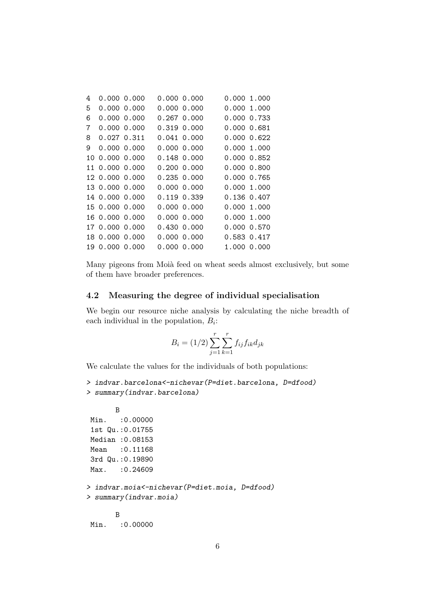| 4   | 0.00000.000    |  | 0.00000.000      |             | 0.000 1.000 |
|-----|----------------|--|------------------|-------------|-------------|
| 5   | 0.00000.000    |  | 0.00000.000      |             | 0.000 1.000 |
| 6   | 0.000 0.000    |  | 0.267 0.000      |             | 0.000 0.733 |
| 7   | 0.000 0.000    |  | 0.319 0.000      | 0.000 0.681 |             |
| 8   | 0.027 0.311    |  | 0.041 0.000      |             | 0.000 0.622 |
| 9   | 0.000 0.000    |  | 0.000 0.000      |             | 0.000 1.000 |
| 10. | 0.000 0.000    |  | 0.148 0.000      |             | 0.000 0.852 |
|     | 11 0.000 0.000 |  | $0.200 \, 0.000$ |             | 0.000 0.800 |
|     | 12 0.000 0.000 |  | 0.235 0.000      |             | 0.000 0.765 |
|     | 13 0.000 0.000 |  | 0.00000.000      |             | 0.000 1.000 |
|     | 14 0.000 0.000 |  | 0.119 0.339      |             | 0.136 0.407 |
|     | 15 0.000 0.000 |  | 0.000 0.000      |             | 0.000 1.000 |
|     | 16 0.000 0.000 |  | 0.000 0.000      |             | 0.000 1.000 |
|     | 17 0.000 0.000 |  | 0.430 0.000      |             | 0.000 0.570 |
|     | 18 0.000 0.000 |  | 0.000 0.000      |             | 0.583 0.417 |
| 19. | 0.000 0.000    |  | 0.000 0.000      |             | 1.000 0.000 |

Many pigeons from Moià feed on wheat seeds almost exclusively, but some of them have broader preferences.

#### 4.2 Measuring the degree of individual specialisation

We begin our resource niche analysis by calculating the niche breadth of each individual in the population,  $B_i$ :

$$
B_i = (1/2) \sum_{j=1}^{r} \sum_{k=1}^{r} f_{ij} f_{ik} d_{jk}
$$

We calculate the values for the individuals of both populations:

```
> indvar.barcelona<-nichevar(P=diet.barcelona, D=dfood)
> summary(indvar.barcelona)
```

```
B
Min. : 0.00000
1st Qu.:0.01755
Median :0.08153
Mean :0.11168
3rd Qu.:0.19890
Max. : 0.24609
> indvar.moia<-nichevar(P=diet.moia, D=dfood)
> summary(indvar.moia)
      B
Min. : 0.00000
```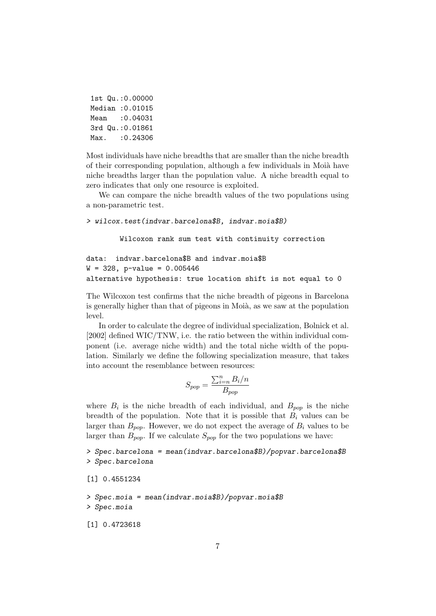|      | 1st Qu.: 0.00000 |
|------|------------------|
|      | Median : 0.01015 |
| Mean | :0.04031         |
|      | 3rd Qu.: 0.01861 |
| Max. | :0.24306         |

Most individuals have niche breadths that are smaller than the niche breadth of their corresponding population, although a few individuals in Moià have niche breadths larger than the population value. A niche breadth equal to zero indicates that only one resource is exploited.

We can compare the niche breadth values of the two populations using a non-parametric test.

#### > wilcox.test(indvar.barcelona\$B, indvar.moia\$B)

Wilcoxon rank sum test with continuity correction

```
data: indvar.barcelona$B and indvar.moia$B
W = 328, p-value = 0.005446
alternative hypothesis: true location shift is not equal to 0
```
The Wilcoxon test confirms that the niche breadth of pigeons in Barcelona is generally higher than that of pigeons in Moià, as we saw at the population level.

In order to calculate the degree of individual specialization, Bolnick et al. [2002] defined WIC/TNW, i.e. the ratio between the within individual component (i.e. average niche width) and the total niche width of the population. Similarly we define the following specialization measure, that takes into account the resemblance between resources:

$$
S_{pop} = \frac{\sum_{i=n}^{n} B_i/n}{B_{pop}}
$$

where  $B_i$  is the niche breadth of each individual, and  $B_{pop}$  is the niche breadth of the population. Note that it is possible that  $B_i$  values can be larger than  $B_{pop}$ . However, we do not expect the average of  $B_i$  values to be larger than  $B_{pop}$ . If we calculate  $S_{pop}$  for the two populations we have:

> Spec.barcelona = mean(indvar.barcelona\$B)/popvar.barcelona\$B > Spec.barcelona

```
[1] 0.4551234
```

```
> Spec.moia = mean(indvar.moia$B)/popvar.moia$B
> Spec.moia
```
[1] 0.4723618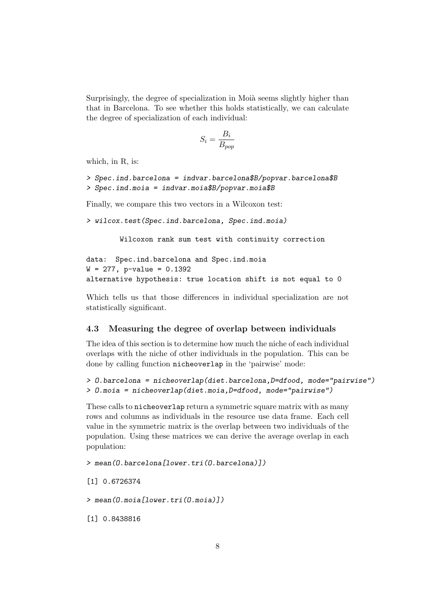Surprisingly, the degree of specialization in Moià seems slightly higher than that in Barcelona. To see whether this holds statistically, we can calculate the degree of specialization of each individual:

$$
S_i = \frac{B_i}{B_{pop}}
$$

which, in R, is:

> Spec.ind.barcelona = indvar.barcelona\$B/popvar.barcelona\$B > Spec.ind.moia = indvar.moia\$B/popvar.moia\$B

Finally, we compare this two vectors in a Wilcoxon test:

> wilcox.test(Spec.ind.barcelona, Spec.ind.moia)

Wilcoxon rank sum test with continuity correction

```
data: Spec.ind.barcelona and Spec.ind.moia
W = 277, p-value = 0.1392
alternative hypothesis: true location shift is not equal to 0
```
Which tells us that those differences in individual specialization are not statistically significant.

#### 4.3 Measuring the degree of overlap between individuals

The idea of this section is to determine how much the niche of each individual overlaps with the niche of other individuals in the population. This can be done by calling function nicheoverlap in the 'pairwise' mode:

```
> O.barcelona = nicheoverlap(diet.barcelona,D=dfood, mode="pairwise")
> O.moia = nicheoverlap(diet.moia,D=dfood, mode="pairwise")
```
These calls to nicheoverlap return a symmetric square matrix with as many rows and columns as individuals in the resource use data frame. Each cell value in the symmetric matrix is the overlap between two individuals of the population. Using these matrices we can derive the average overlap in each population:

> mean(O.barcelona[lower.tri(O.barcelona)])

[1] 0.6726374

> mean(O.moia[lower.tri(O.moia)])

[1] 0.8438816